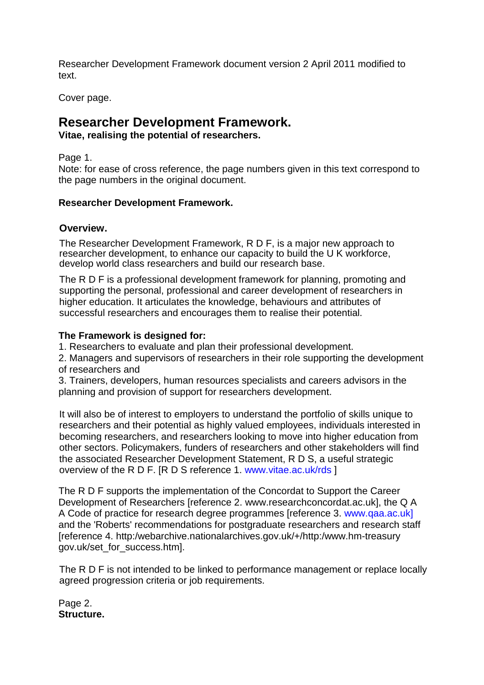Researcher Development Framework document version 2 April 2011 modified to text.

Cover page.

# **Researcher Development Framework.**

**Vitae, realising the potential of researchers.**

Page 1.

Note: for ease of cross reference, the page numbers given in this text correspond to the page numbers in the original document.

### **Researcher Development Framework.**

### **Overview.**

The Researcher Development Framework, R D F, is a major new approach to researcher development, to enhance our capacity to build the U K workforce, develop world class researchers and build our research base.

The R D F is a professional development framework for planning, promoting and supporting the personal, professional and career development of researchers in higher education. It articulates the knowledge, behaviours and attributes of successful researchers and encourages them to realise their potential.

### **The Framework is designed for:**

1. Researchers to evaluate and plan their professional development.

2. Managers and supervisors of researchers in their role supporting the development of researchers and

3. Trainers, developers, human resources specialists and careers advisors in the planning and provision of support for researchers development.

It will also be of interest to employers to understand the portfolio of skills unique to researchers and their potential as highly valued employees, individuals interested in becoming researchers, and researchers looking to move into higher education from other sectors. Policymakers, funders of researchers and other stakeholders will find the associated Researcher Development Statement, R D S, a useful strategic overview of the R D F. [R D S reference 1. [www.vitae.ac.uk/rds](http://www.vitae.ac.uk/rds) ]

The R D F supports the implementation of the Concordat to Support the Career Development of Researchers [reference 2. www.researchconcordat.ac.uk], the Q A A Code of practice for research degree programmes [reference 3. [www.qaa.ac.uk\]](http://www.qaa.ac.uk/) and the 'Roberts' recommendations for postgraduate researchers and research staff [reference 4. http:/webarchive.nationalarchives.gov.uk/+/http:/www.hm-treasury gov.uk/set\_for\_success.htm].

The R D F is not intended to be linked to performance management or replace locally agreed progression criteria or job requirements.

Page 2. **Structure.**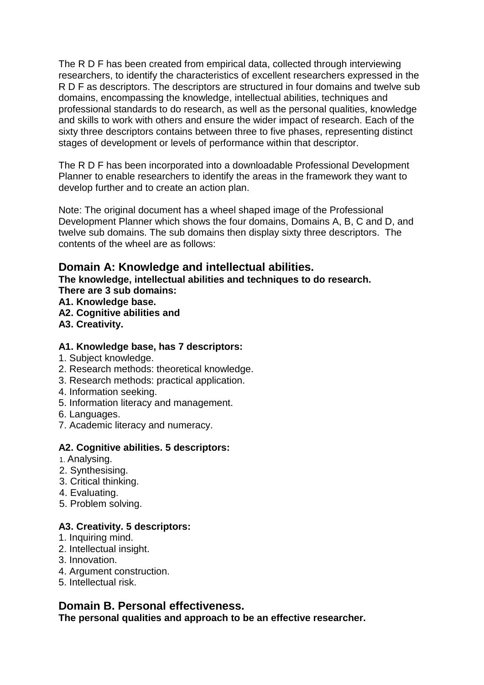The R D F has been created from empirical data, collected through interviewing researchers, to identify the characteristics of excellent researchers expressed in the R D F as descriptors. The descriptors are structured in four domains and twelve sub domains, encompassing the knowledge, intellectual abilities, techniques and professional standards to do research, as well as the personal qualities, knowledge and skills to work with others and ensure the wider impact of research. Each of the sixty three descriptors contains between three to five phases, representing distinct stages of development or levels of performance within that descriptor.

The R D F has been incorporated into a downloadable Professional Development Planner to enable researchers to identify the areas in the framework they want to develop further and to create an action plan.

Note: The original document has a wheel shaped image of the Professional Development Planner which shows the four domains, Domains A, B, C and D, and twelve sub domains. The sub domains then display sixty three descriptors. The contents of the wheel are as follows:

# **Domain A: Knowledge and intellectual abilities.**

**The knowledge, intellectual abilities and techniques to do research. There are 3 sub domains:**

- **A1. Knowledge base.**
- **A2. Cognitive abilities and**
- **A3. Creativity.**

### **A1. Knowledge base, has 7 descriptors:**

- 1. Subject knowledge.
- 2. Research methods: theoretical knowledge.
- 3. Research methods: practical application.
- 4. Information seeking.
- 5. Information literacy and management.
- 6. Languages.
- 7. Academic literacy and numeracy.

### **A2. Cognitive abilities. 5 descriptors:**

- 1. Analysing.
- 2. Synthesising.
- 3. Critical thinking.
- 4. Evaluating.
- 5. Problem solving.

# **A3. Creativity. 5 descriptors:**

- 1. Inquiring mind.
- 2. Intellectual insight.
- 3. Innovation.
- 4. Argument construction.
- 5. Intellectual risk.

# **Domain B. Personal effectiveness.**

**The personal qualities and approach to be an effective researcher.**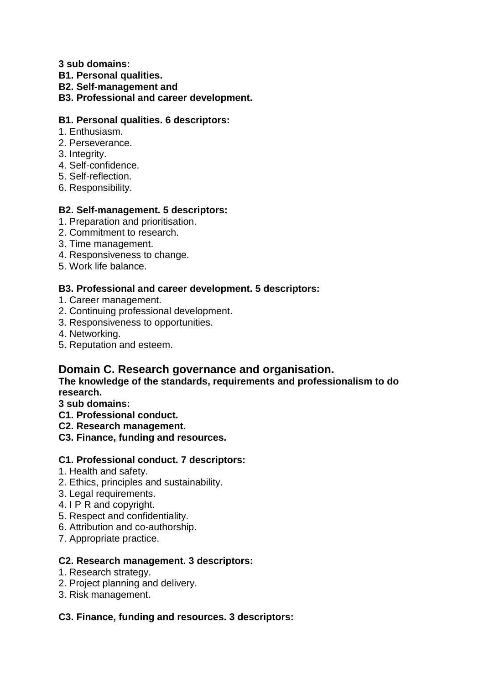**3 sub domains:**

- **B1. Personal qualities.**
- **B2. Self-management and**

### **B3. Professional and career development.**

### **B1. Personal qualities. 6 descriptors:**

- 1. Enthusiasm.
- 2. Perseverance.
- 3. Integrity.
- 4. Self-confidence.
- 5. Self-reflection.
- 6. Responsibility.

# **B2. Self-management. 5 descriptors:**

- 1. Preparation and prioritisation.
- 2. Commitment to research.
- 3. Time management.
- 4. Responsiveness to change.
- 5. Work life balance.

# **B3. Professional and career development. 5 descriptors:**

- 1. Career management.
- 2. Continuing professional development.
- 3. Responsiveness to opportunities.
- 4. Networking.
- 5. Reputation and esteem.

# **Domain C. Research governance and organisation.**

### **The knowledge of the standards, requirements and professionalism to do research.**

- **3 sub domains:**
- **C1. Professional conduct.**
- **C2. Research management.**
- **C3. Finance, funding and resources.**

### **C1. Professional conduct. 7 descriptors:**

- 1. Health and safety.
- 2. Ethics, principles and sustainability.
- 3. Legal requirements.
- 4. I P R and copyright.
- 5. Respect and confidentiality.
- 6. Attribution and co-authorship.
- 7. Appropriate practice.

# **C2. Research management. 3 descriptors:**

- 1. Research strategy.
- 2. Project planning and delivery.
- 3. Risk management.

# **C3. Finance, funding and resources. 3 descriptors:**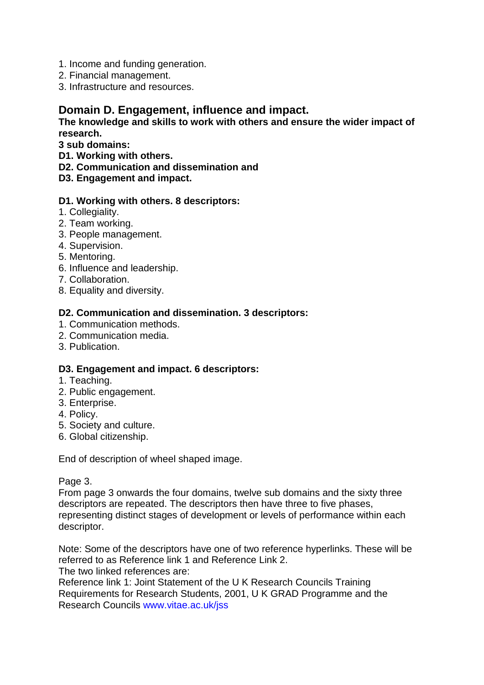- 1. Income and funding generation.
- 2. Financial management.
- 3. Infrastructure and resources.

# **Domain D. Engagement, influence and impact.**

#### **The knowledge and skills to work with others and ensure the wider impact of research.**

**3 sub domains:**

- **D1. Working with others.**
- **D2. Communication and dissemination and**
- **D3. Engagement and impact.**

#### **D1. Working with others. 8 descriptors:**

- 1. Collegiality.
- 2. Team working.
- 3. People management.
- 4. Supervision.
- 5. Mentoring.
- 6. Influence and leadership.
- 7. Collaboration.
- 8. Equality and diversity.

### **D2. Communication and dissemination. 3 descriptors:**

- 1. Communication methods.
- 2. Communication media.
- 3. Publication.

### **D3. Engagement and impact. 6 descriptors:**

- 1. Teaching.
- 2. Public engagement.
- 3. Enterprise.
- 4. Policy.
- 5. Society and culture.
- 6. Global citizenship.

End of description of wheel shaped image.

Page 3.

From page 3 onwards the four domains, twelve sub domains and the sixty three descriptors are repeated. The descriptors then have three to five phases, representing distinct stages of development or levels of performance within each descriptor.

Note: Some of the descriptors have one of two reference hyperlinks. These will be referred to as Reference link 1 and Reference Link 2. The two linked references are:

Reference link 1: Joint Statement of the U K Research Councils Training Requirements for Research Students, 2001, U K GRAD Programme and the Research Councils [www.vitae.ac.uk/jss](http://www.vitae.ac.uk/jss)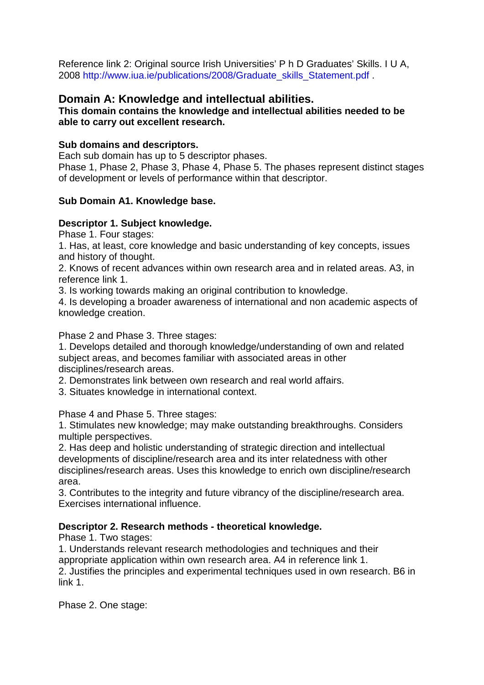Reference link 2: Original source Irish Universities' P h D Graduates' Skills. I U A, 2008 [http://www.iua.ie/publications/2008/Graduate\\_skills\\_Statement.pdf](http://www.iua.ie/publications/2008/Graduate_skills_Statement.pdf) .

# **Domain A: Knowledge and intellectual abilities.**

**This domain contains the knowledge and intellectual abilities needed to be able to carry out excellent research.** 

### **Sub domains and descriptors.**

Each sub domain has up to 5 descriptor phases.

Phase 1, Phase 2, Phase 3, Phase 4, Phase 5. The phases represent distinct stages of development or levels of performance within that descriptor.

### **Sub Domain A1. Knowledge base.**

### **Descriptor 1. Subject knowledge.**

Phase 1. Four stages:

1. Has, at least, core knowledge and basic understanding of key concepts, issues and history of thought.

2. Knows of recent advances within own research area and in related areas. A3, in reference link 1.

3. Is working towards making an original contribution to knowledge.

4. Is developing a broader awareness of international and non academic aspects of knowledge creation.

Phase 2 and Phase 3. Three stages:

1. Develops detailed and thorough knowledge/understanding of own and related subject areas, and becomes familiar with associated areas in other disciplines/research areas.

2. Demonstrates link between own research and real world affairs.

3. Situates knowledge in international context.

Phase 4 and Phase 5. Three stages:

1. Stimulates new knowledge; may make outstanding breakthroughs. Considers multiple perspectives.

2. Has deep and holistic understanding of strategic direction and intellectual developments of discipline/research area and its inter relatedness with other disciplines/research areas. Uses this knowledge to enrich own discipline/research area.

3. Contributes to the integrity and future vibrancy of the discipline/research area. Exercises international influence.

### **Descriptor 2. Research methods - theoretical knowledge.**

Phase 1. Two stages:

1. Understands relevant research methodologies and techniques and their appropriate application within own research area. A4 in reference link 1. 2. Justifies the principles and experimental techniques used in own research. B6 in link 1.

Phase 2. One stage: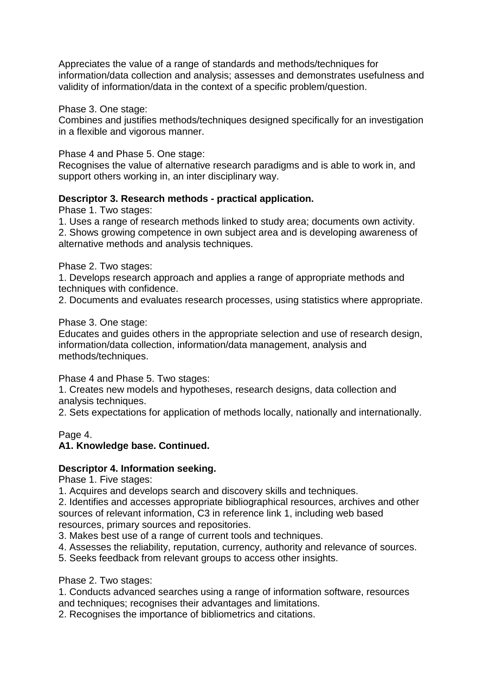Appreciates the value of a range of standards and methods/techniques for information/data collection and analysis; assesses and demonstrates usefulness and validity of information/data in the context of a specific problem/question.

Phase 3. One stage:

Combines and justifies methods/techniques designed specifically for an investigation in a flexible and vigorous manner.

### Phase 4 and Phase 5. One stage:

Recognises the value of alternative research paradigms and is able to work in, and support others working in, an inter disciplinary way.

### **Descriptor 3. Research methods - practical application.**

Phase 1. Two stages:

1. Uses a range of research methods linked to study area; documents own activity. 2. Shows growing competence in own subject area and is developing awareness of alternative methods and analysis techniques.

Phase 2. Two stages:

1. Develops research approach and applies a range of appropriate methods and techniques with confidence.

2. Documents and evaluates research processes, using statistics where appropriate.

#### Phase 3. One stage:

Educates and guides others in the appropriate selection and use of research design, information/data collection, information/data management, analysis and methods/techniques.

Phase 4 and Phase 5. Two stages:

1. Creates new models and hypotheses, research designs, data collection and analysis techniques.

2. Sets expectations for application of methods locally, nationally and internationally.

#### Page 4.

### **A1. Knowledge base. Continued.**

### **Descriptor 4. Information seeking.**

Phase 1. Five stages:

1. Acquires and develops search and discovery skills and techniques.

2. Identifies and accesses appropriate bibliographical resources, archives and other sources of relevant information, C3 in reference link 1, including web based resources, primary sources and repositories.

3. Makes best use of a range of current tools and techniques.

4. Assesses the reliability, reputation, currency, authority and relevance of sources.

5. Seeks feedback from relevant groups to access other insights.

Phase 2. Two stages:

1. Conducts advanced searches using a range of information software, resources and techniques; recognises their advantages and limitations.

2. Recognises the importance of bibliometrics and citations.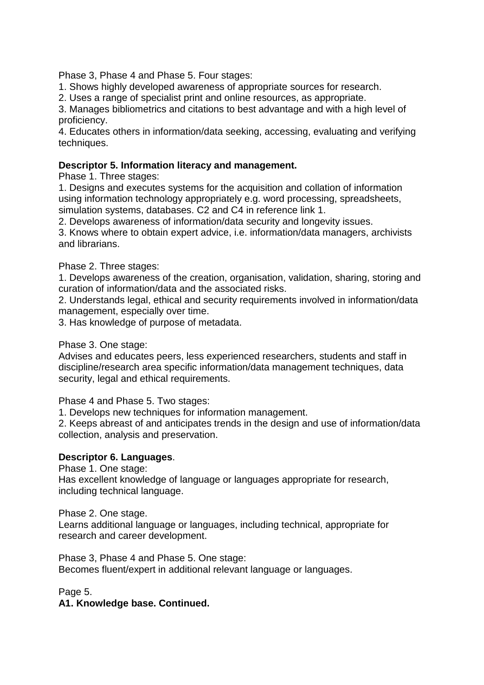Phase 3, Phase 4 and Phase 5. Four stages:

1. Shows highly developed awareness of appropriate sources for research.

2. Uses a range of specialist print and online resources, as appropriate.

3. Manages bibliometrics and citations to best advantage and with a high level of proficiency.

4. Educates others in information/data seeking, accessing, evaluating and verifying techniques.

#### **Descriptor 5. Information literacy and management.**

Phase 1. Three stages:

1. Designs and executes systems for the acquisition and collation of information using information technology appropriately e.g. word processing, spreadsheets, simulation systems, databases. C2 and C4 in reference link 1.

2. Develops awareness of information/data security and longevity issues.

3. Knows where to obtain expert advice, i.e. information/data managers, archivists and librarians.

#### Phase 2. Three stages:

1. Develops awareness of the creation, organisation, validation, sharing, storing and curation of information/data and the associated risks.

2. Understands legal, ethical and security requirements involved in information/data management, especially over time.

3. Has knowledge of purpose of metadata.

Phase 3. One stage:

Advises and educates peers, less experienced researchers, students and staff in discipline/research area specific information/data management techniques, data security, legal and ethical requirements.

Phase 4 and Phase 5. Two stages:

1. Develops new techniques for information management.

2. Keeps abreast of and anticipates trends in the design and use of information/data collection, analysis and preservation.

### **Descriptor 6. Languages**.

Phase 1. One stage:

Has excellent knowledge of language or languages appropriate for research, including technical language.

Phase 2. One stage.

Learns additional language or languages, including technical, appropriate for research and career development.

Phase 3, Phase 4 and Phase 5. One stage: Becomes fluent/expert in additional relevant language or languages.

Page 5.

**A1. Knowledge base. Continued.**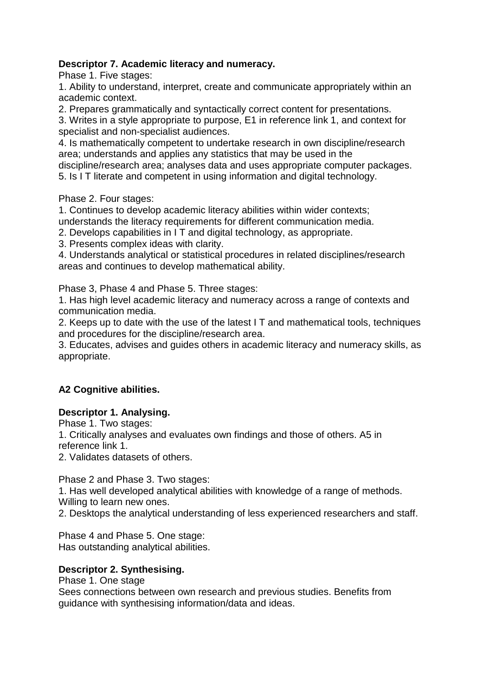# **Descriptor 7. Academic literacy and numeracy.**

Phase 1. Five stages:

1. Ability to understand, interpret, create and communicate appropriately within an academic context.

2. Prepares grammatically and syntactically correct content for presentations.

3. Writes in a style appropriate to purpose, E1 in reference link 1, and context for specialist and non-specialist audiences.

4. Is mathematically competent to undertake research in own discipline/research area; understands and applies any statistics that may be used in the

discipline/research area; analyses data and uses appropriate computer packages.

5. Is I T literate and competent in using information and digital technology.

Phase 2. Four stages:

1. Continues to develop academic literacy abilities within wider contexts; understands the literacy requirements for different communication media.

2. Develops capabilities in I T and digital technology, as appropriate.

3. Presents complex ideas with clarity.

4. Understands analytical or statistical procedures in related disciplines/research areas and continues to develop mathematical ability.

Phase 3, Phase 4 and Phase 5. Three stages:

1. Has high level academic literacy and numeracy across a range of contexts and communication media.

2. Keeps up to date with the use of the latest I T and mathematical tools, techniques and procedures for the discipline/research area.

3. Educates, advises and guides others in academic literacy and numeracy skills, as appropriate.

# **A2 Cognitive abilities.**

### **Descriptor 1. Analysing.**

Phase 1. Two stages:

1. Critically analyses and evaluates own findings and those of others. A5 in reference link 1.

2. Validates datasets of others.

Phase 2 and Phase 3. Two stages:

1. Has well developed analytical abilities with knowledge of a range of methods. Willing to learn new ones.

2. Desktops the analytical understanding of less experienced researchers and staff.

Phase 4 and Phase 5. One stage: Has outstanding analytical abilities.

### **Descriptor 2. Synthesising.**

Phase 1. One stage

Sees connections between own research and previous studies. Benefits from guidance with synthesising information/data and ideas.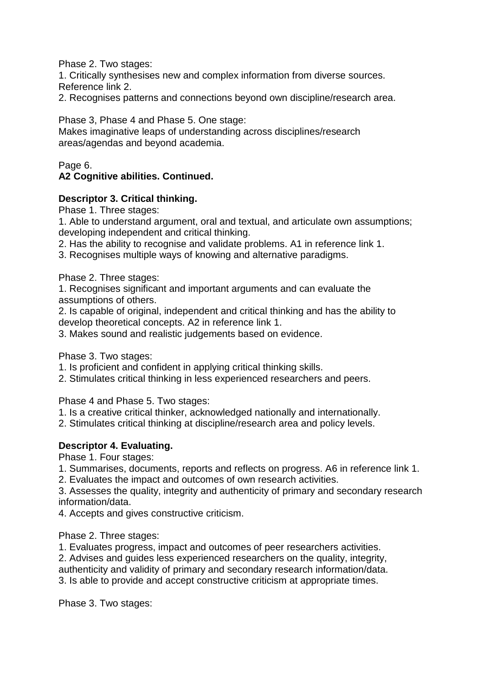Phase 2. Two stages:

1. Critically synthesises new and complex information from diverse sources. Reference link 2.

2. Recognises patterns and connections beyond own discipline/research area.

Phase 3, Phase 4 and Phase 5. One stage:

Makes imaginative leaps of understanding across disciplines/research areas/agendas and beyond academia.

#### Page 6. **A2 Cognitive abilities. Continued.**

### **Descriptor 3. Critical thinking.**

Phase 1. Three stages:

1. Able to understand argument, oral and textual, and articulate own assumptions; developing independent and critical thinking.

2. Has the ability to recognise and validate problems. A1 in reference link 1.

3. Recognises multiple ways of knowing and alternative paradigms.

Phase 2. Three stages:

1. Recognises significant and important arguments and can evaluate the assumptions of others.

2. Is capable of original, independent and critical thinking and has the ability to develop theoretical concepts. A2 in reference link 1.

3. Makes sound and realistic judgements based on evidence.

Phase 3. Two stages:

1. Is proficient and confident in applying critical thinking skills.

2. Stimulates critical thinking in less experienced researchers and peers.

Phase 4 and Phase 5. Two stages:

- 1. Is a creative critical thinker, acknowledged nationally and internationally.
- 2. Stimulates critical thinking at discipline/research area and policy levels.

# **Descriptor 4. Evaluating.**

Phase 1. Four stages:

- 1. Summarises, documents, reports and reflects on progress. A6 in reference link 1.
- 2. Evaluates the impact and outcomes of own research activities.

3. Assesses the quality, integrity and authenticity of primary and secondary research information/data.

4. Accepts and gives constructive criticism.

Phase 2. Three stages:

1. Evaluates progress, impact and outcomes of peer researchers activities.

2. Advises and guides less experienced researchers on the quality, integrity,

authenticity and validity of primary and secondary research information/data.

3. Is able to provide and accept constructive criticism at appropriate times.

Phase 3. Two stages: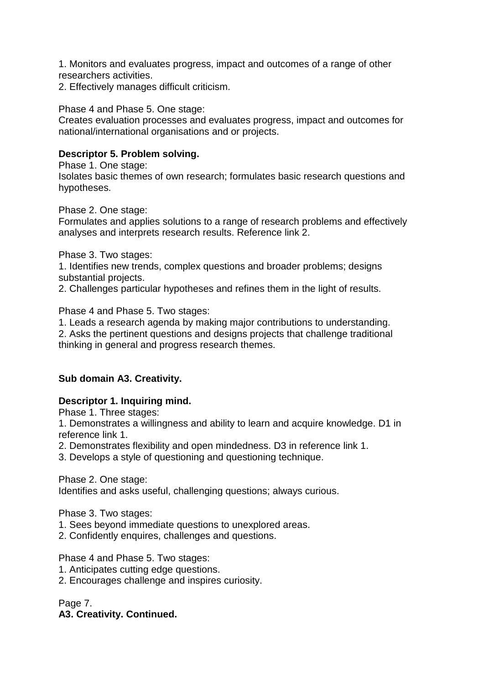1. Monitors and evaluates progress, impact and outcomes of a range of other researchers activities.

2. Effectively manages difficult criticism.

Phase 4 and Phase 5. One stage:

Creates evaluation processes and evaluates progress, impact and outcomes for national/international organisations and or projects.

### **Descriptor 5. Problem solving.**

Phase 1. One stage: Isolates basic themes of own research; formulates basic research questions and hypotheses.

Phase 2. One stage:

Formulates and applies solutions to a range of research problems and effectively analyses and interprets research results. Reference link 2.

Phase 3. Two stages:

1. Identifies new trends, complex questions and broader problems; designs substantial projects.

2. Challenges particular hypotheses and refines them in the light of results.

Phase 4 and Phase 5. Two stages:

1. Leads a research agenda by making major contributions to understanding.

2. Asks the pertinent questions and designs projects that challenge traditional thinking in general and progress research themes.

### **Sub domain A3. Creativity.**

### **Descriptor 1. Inquiring mind.**

Phase 1. Three stages:

1. Demonstrates a willingness and ability to learn and acquire knowledge. D1 in reference link 1.

2. Demonstrates flexibility and open mindedness. D3 in reference link 1.

3. Develops a style of questioning and questioning technique.

Phase 2. One stage:

Identifies and asks useful, challenging questions; always curious.

Phase 3. Two stages:

- 1. Sees beyond immediate questions to unexplored areas.
- 2. Confidently enquires, challenges and questions.

Phase 4 and Phase 5. Two stages:

- 1. Anticipates cutting edge questions.
- 2. Encourages challenge and inspires curiosity.

Page 7.

### **A3. Creativity. Continued.**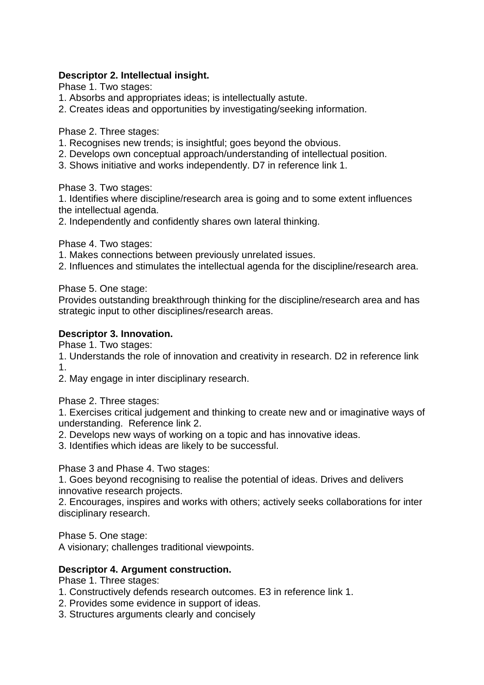### **Descriptor 2. Intellectual insight.**

Phase 1. Two stages:

- 1. Absorbs and appropriates ideas; is intellectually astute.
- 2. Creates ideas and opportunities by investigating/seeking information.

Phase 2. Three stages:

- 1. Recognises new trends; is insightful; goes beyond the obvious.
- 2. Develops own conceptual approach/understanding of intellectual position.
- 3. Shows initiative and works independently. D7 in reference link 1.

Phase 3. Two stages:

1. Identifies where discipline/research area is going and to some extent influences the intellectual agenda.

2. Independently and confidently shares own lateral thinking.

Phase 4. Two stages:

- 1. Makes connections between previously unrelated issues.
- 2. Influences and stimulates the intellectual agenda for the discipline/research area.

Phase 5. One stage:

Provides outstanding breakthrough thinking for the discipline/research area and has strategic input to other disciplines/research areas.

### **Descriptor 3. Innovation.**

Phase 1. Two stages:

1. Understands the role of innovation and creativity in research. D2 in reference link 1.

2. May engage in inter disciplinary research.

Phase 2. Three stages:

1. Exercises critical judgement and thinking to create new and or imaginative ways of understanding. Reference link 2.

- 2. Develops new ways of working on a topic and has innovative ideas.
- 3. Identifies which ideas are likely to be successful.

Phase 3 and Phase 4. Two stages:

1. Goes beyond recognising to realise the potential of ideas. Drives and delivers innovative research projects.

2. Encourages, inspires and works with others; actively seeks collaborations for inter disciplinary research.

Phase 5. One stage:

A visionary; challenges traditional viewpoints.

### **Descriptor 4. Argument construction.**

Phase 1. Three stages:

- 1. Constructively defends research outcomes. E3 in reference link 1.
- 2. Provides some evidence in support of ideas.
- 3. Structures arguments clearly and concisely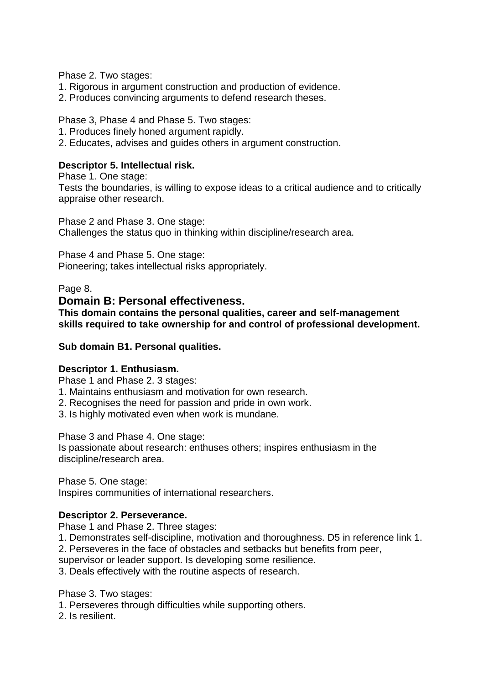Phase 2. Two stages:

- 1. Rigorous in argument construction and production of evidence.
- 2. Produces convincing arguments to defend research theses.

Phase 3, Phase 4 and Phase 5. Two stages:

- 1. Produces finely honed argument rapidly.
- 2. Educates, advises and guides others in argument construction.

### **Descriptor 5. Intellectual risk.**

Phase 1. One stage: Tests the boundaries, is willing to expose ideas to a critical audience and to critically appraise other research.

Phase 2 and Phase 3. One stage: Challenges the status quo in thinking within discipline/research area.

Phase 4 and Phase 5. One stage: Pioneering; takes intellectual risks appropriately.

Page 8.

### **Domain B: Personal effectiveness.**

**This domain contains the personal qualities, career and self-management skills required to take ownership for and control of professional development.**

#### **Sub domain B1. Personal qualities.**

### **Descriptor 1. Enthusiasm.**

Phase 1 and Phase 2. 3 stages:

- 1. Maintains enthusiasm and motivation for own research.
- 2. Recognises the need for passion and pride in own work.
- 3. Is highly motivated even when work is mundane.

Phase 3 and Phase 4. One stage:

Is passionate about research: enthuses others; inspires enthusiasm in the discipline/research area.

Phase 5. One stage: Inspires communities of international researchers.

### **Descriptor 2. Perseverance.**

Phase 1 and Phase 2. Three stages:

- 1. Demonstrates self-discipline, motivation and thoroughness. D5 in reference link 1.
- 2. Perseveres in the face of obstacles and setbacks but benefits from peer,

supervisor or leader support. Is developing some resilience.

3. Deals effectively with the routine aspects of research.

Phase 3. Two stages:

1. Perseveres through difficulties while supporting others.

2. Is resilient.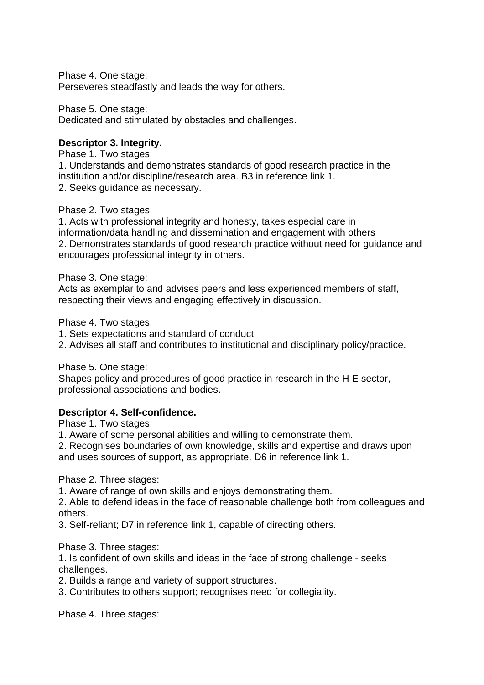Phase 4. One stage: Perseveres steadfastly and leads the way for others.

Phase 5. One stage:

Dedicated and stimulated by obstacles and challenges.

### **Descriptor 3. Integrity.**

Phase 1. Two stages:

1. Understands and demonstrates standards of good research practice in the institution and/or discipline/research area. B3 in reference link 1. 2. Seeks guidance as necessary.

Phase 2. Two stages:

1. Acts with professional integrity and honesty, takes especial care in information/data handling and dissemination and engagement with others 2. Demonstrates standards of good research practice without need for guidance and encourages professional integrity in others.

Phase 3. One stage:

Acts as exemplar to and advises peers and less experienced members of staff, respecting their views and engaging effectively in discussion.

Phase 4. Two stages:

1. Sets expectations and standard of conduct.

2. Advises all staff and contributes to institutional and disciplinary policy/practice.

Phase 5. One stage:

Shapes policy and procedures of good practice in research in the H E sector, professional associations and bodies.

### **Descriptor 4. Self-confidence.**

Phase 1. Two stages:

1. Aware of some personal abilities and willing to demonstrate them.

2. Recognises boundaries of own knowledge, skills and expertise and draws upon and uses sources of support, as appropriate. D6 in reference link 1.

Phase 2. Three stages:

1. Aware of range of own skills and enjoys demonstrating them.

2. Able to defend ideas in the face of reasonable challenge both from colleagues and others.

3. Self-reliant; D7 in reference link 1, capable of directing others.

Phase 3. Three stages:

1. Is confident of own skills and ideas in the face of strong challenge - seeks challenges.

2. Builds a range and variety of support structures.

3. Contributes to others support; recognises need for collegiality.

Phase 4. Three stages: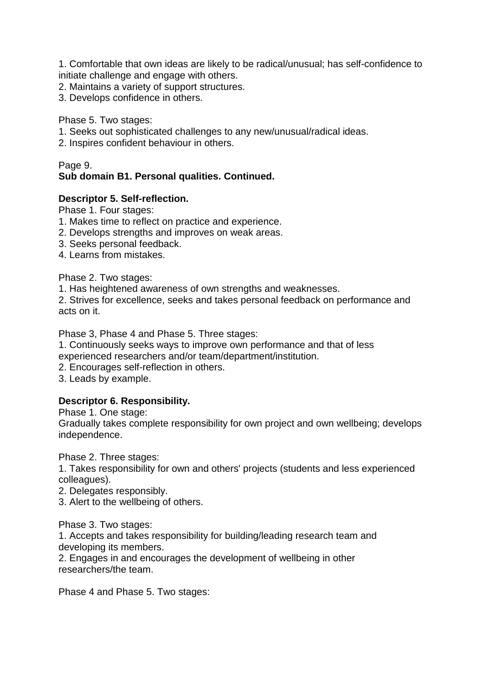1. Comfortable that own ideas are likely to be radical/unusual; has self-confidence to initiate challenge and engage with others.

- 2. Maintains a variety of support structures.
- 3. Develops confidence in others.

Phase 5. Two stages:

- 1. Seeks out sophisticated challenges to any new/unusual/radical ideas.
- 2. Inspires confident behaviour in others.

### Page 9.

# **Sub domain B1. Personal qualities. Continued.**

#### **Descriptor 5. Self-reflection.**

Phase 1. Four stages:

- 1. Makes time to reflect on practice and experience.
- 2. Develops strengths and improves on weak areas.
- 3. Seeks personal feedback.
- 4. Learns from mistakes.

Phase 2. Two stages:

1. Has heightened awareness of own strengths and weaknesses.

2. Strives for excellence, seeks and takes personal feedback on performance and acts on it.

Phase 3, Phase 4 and Phase 5. Three stages:

1. Continuously seeks ways to improve own performance and that of less

experienced researchers and/or team/department/institution.

2. Encourages self-reflection in others.

3. Leads by example.

### **Descriptor 6. Responsibility.**

Phase 1. One stage:

Gradually takes complete responsibility for own project and own wellbeing; develops independence.

Phase 2. Three stages:

1. Takes responsibility for own and others' projects (students and less experienced colleagues).

2. Delegates responsibly.

3. Alert to the wellbeing of others.

Phase 3. Two stages:

1. Accepts and takes responsibility for building/leading research team and developing its members.

2. Engages in and encourages the development of wellbeing in other researchers/the team.

Phase 4 and Phase 5. Two stages: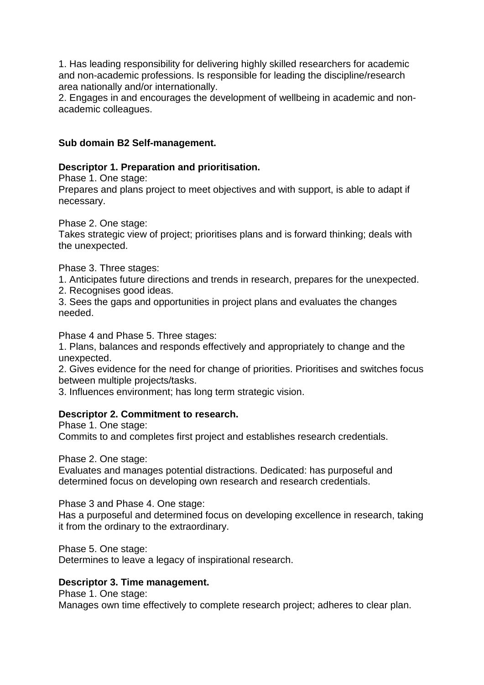1. Has leading responsibility for delivering highly skilled researchers for academic and non-academic professions. Is responsible for leading the discipline/research area nationally and/or internationally.

2. Engages in and encourages the development of wellbeing in academic and nonacademic colleagues.

### **Sub domain B2 Self-management.**

### **Descriptor 1. Preparation and prioritisation.**

Phase 1. One stage:

Prepares and plans project to meet objectives and with support, is able to adapt if necessary.

Phase 2. One stage:

Takes strategic view of project; prioritises plans and is forward thinking; deals with the unexpected.

Phase 3. Three stages:

1. Anticipates future directions and trends in research, prepares for the unexpected.

2. Recognises good ideas.

3. Sees the gaps and opportunities in project plans and evaluates the changes needed.

Phase 4 and Phase 5. Three stages:

1. Plans, balances and responds effectively and appropriately to change and the unexpected.

2. Gives evidence for the need for change of priorities. Prioritises and switches focus between multiple projects/tasks.

3. Influences environment; has long term strategic vision.

### **Descriptor 2. Commitment to research.**

Phase 1. One stage: Commits to and completes first project and establishes research credentials.

Phase 2. One stage:

Evaluates and manages potential distractions. Dedicated: has purposeful and determined focus on developing own research and research credentials.

Phase 3 and Phase 4. One stage:

Has a purposeful and determined focus on developing excellence in research, taking it from the ordinary to the extraordinary.

Phase 5. One stage:

Determines to leave a legacy of inspirational research.

### **Descriptor 3. Time management.**

Phase 1. One stage:

Manages own time effectively to complete research project; adheres to clear plan.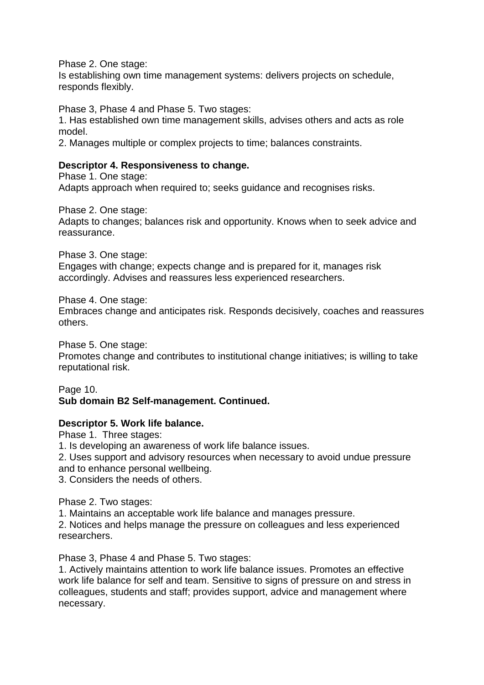Phase 2. One stage:

Is establishing own time management systems: delivers projects on schedule, responds flexibly.

Phase 3, Phase 4 and Phase 5. Two stages:

1. Has established own time management skills, advises others and acts as role model.

2. Manages multiple or complex projects to time; balances constraints.

### **Descriptor 4. Responsiveness to change.**

Phase 1. One stage: Adapts approach when required to; seeks guidance and recognises risks.

Phase 2. One stage:

Adapts to changes; balances risk and opportunity. Knows when to seek advice and reassurance.

Phase 3. One stage:

Engages with change; expects change and is prepared for it, manages risk accordingly. Advises and reassures less experienced researchers.

Phase 4. One stage:

Embraces change and anticipates risk. Responds decisively, coaches and reassures others.

Phase 5. One stage:

Promotes change and contributes to institutional change initiatives; is willing to take reputational risk.

Page 10. **Sub domain B2 Self-management. Continued.**

### **Descriptor 5. Work life balance.**

Phase 1. Three stages:

1. Is developing an awareness of work life balance issues.

2. Uses support and advisory resources when necessary to avoid undue pressure and to enhance personal wellbeing.

3. Considers the needs of others.

Phase 2. Two stages:

1. Maintains an acceptable work life balance and manages pressure.

2. Notices and helps manage the pressure on colleagues and less experienced researchers.

Phase 3, Phase 4 and Phase 5. Two stages:

1. Actively maintains attention to work life balance issues. Promotes an effective work life balance for self and team. Sensitive to signs of pressure on and stress in colleagues, students and staff; provides support, advice and management where necessary.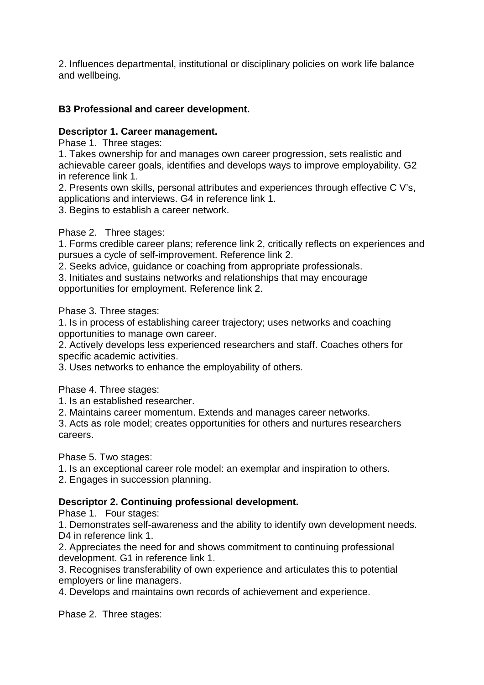2. Influences departmental, institutional or disciplinary policies on work life balance and wellbeing.

### **B3 Professional and career development.**

#### **Descriptor 1. Career management.**

Phase 1. Three stages:

1. Takes ownership for and manages own career progression, sets realistic and achievable career goals, identifies and develops ways to improve employability. G2 in reference link 1.

2. Presents own skills, personal attributes and experiences through effective C V's, applications and interviews. G4 in reference link 1.

3. Begins to establish a career network.

Phase 2. Three stages:

1. Forms credible career plans; reference link 2, critically reflects on experiences and pursues a cycle of self-improvement. Reference link 2.

2. Seeks advice, guidance or coaching from appropriate professionals.

3. Initiates and sustains networks and relationships that may encourage opportunities for employment. Reference link 2.

Phase 3. Three stages:

1. Is in process of establishing career trajectory; uses networks and coaching opportunities to manage own career.

2. Actively develops less experienced researchers and staff. Coaches others for specific academic activities.

3. Uses networks to enhance the employability of others.

Phase 4. Three stages:

1. Is an established researcher.

2. Maintains career momentum. Extends and manages career networks.

3. Acts as role model; creates opportunities for others and nurtures researchers careers.

Phase 5. Two stages:

1. Is an exceptional career role model: an exemplar and inspiration to others.

2. Engages in succession planning.

### **Descriptor 2. Continuing professional development.**

Phase 1. Four stages:

1. Demonstrates self-awareness and the ability to identify own development needs. D<sub>4</sub> in reference link 1.

2. Appreciates the need for and shows commitment to continuing professional development. G1 in reference link 1.

3. Recognises transferability of own experience and articulates this to potential employers or line managers.

4. Develops and maintains own records of achievement and experience.

Phase 2. Three stages: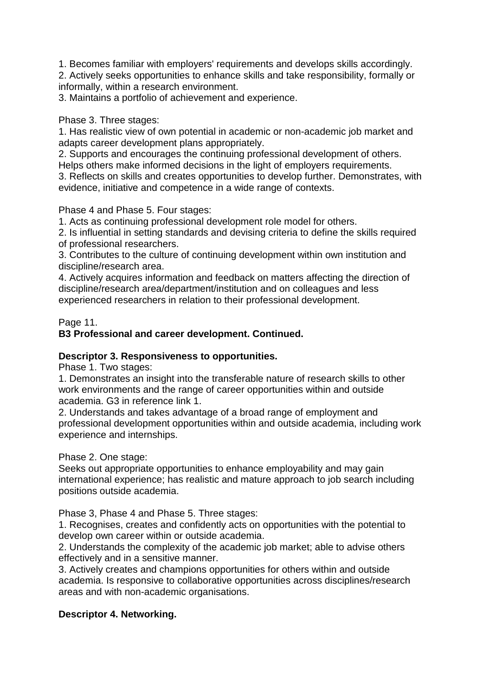1. Becomes familiar with employers' requirements and develops skills accordingly.

2. Actively seeks opportunities to enhance skills and take responsibility, formally or informally, within a research environment.

3. Maintains a portfolio of achievement and experience.

Phase 3. Three stages:

1. Has realistic view of own potential in academic or non-academic job market and adapts career development plans appropriately.

2. Supports and encourages the continuing professional development of others. Helps others make informed decisions in the light of employers requirements.

3. Reflects on skills and creates opportunities to develop further. Demonstrates, with evidence, initiative and competence in a wide range of contexts.

Phase 4 and Phase 5. Four stages:

1. Acts as continuing professional development role model for others.

2. Is influential in setting standards and devising criteria to define the skills required of professional researchers.

3. Contributes to the culture of continuing development within own institution and discipline/research area.

4. Actively acquires information and feedback on matters affecting the direction of discipline/research area/department/institution and on colleagues and less experienced researchers in relation to their professional development.

Page 11.

# **B3 Professional and career development. Continued.**

### **Descriptor 3. Responsiveness to opportunities.**

Phase 1. Two stages:

1. Demonstrates an insight into the transferable nature of research skills to other work environments and the range of career opportunities within and outside academia. G3 in reference link 1.

2. Understands and takes advantage of a broad range of employment and professional development opportunities within and outside academia, including work experience and internships.

Phase 2. One stage:

Seeks out appropriate opportunities to enhance employability and may gain international experience; has realistic and mature approach to job search including positions outside academia.

Phase 3, Phase 4 and Phase 5. Three stages:

1. Recognises, creates and confidently acts on opportunities with the potential to develop own career within or outside academia.

2. Understands the complexity of the academic job market; able to advise others effectively and in a sensitive manner.

3. Actively creates and champions opportunities for others within and outside academia. Is responsive to collaborative opportunities across disciplines/research areas and with non-academic organisations.

# **Descriptor 4. Networking.**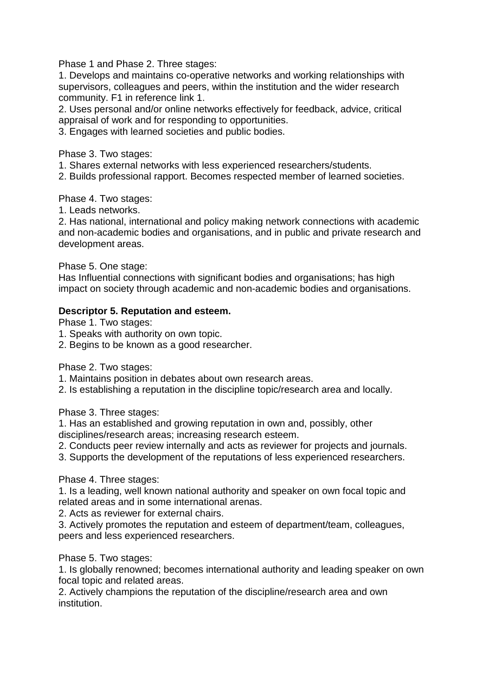Phase 1 and Phase 2. Three stages:

1. Develops and maintains co-operative networks and working relationships with supervisors, colleagues and peers, within the institution and the wider research community. F1 in reference link 1.

2. Uses personal and/or online networks effectively for feedback, advice, critical appraisal of work and for responding to opportunities.

3. Engages with learned societies and public bodies.

Phase 3. Two stages:

1. Shares external networks with less experienced researchers/students.

2. Builds professional rapport. Becomes respected member of learned societies.

Phase 4. Two stages:

1. Leads networks.

2. Has national, international and policy making network connections with academic and non-academic bodies and organisations, and in public and private research and development areas.

Phase 5. One stage:

Has Influential connections with significant bodies and organisations; has high impact on society through academic and non-academic bodies and organisations.

#### **Descriptor 5. Reputation and esteem.**

Phase 1. Two stages:

- 1. Speaks with authority on own topic.
- 2. Begins to be known as a good researcher.

Phase 2. Two stages:

1. Maintains position in debates about own research areas.

2. Is establishing a reputation in the discipline topic/research area and locally.

Phase 3. Three stages:

1. Has an established and growing reputation in own and, possibly, other disciplines/research areas; increasing research esteem.

2. Conducts peer review internally and acts as reviewer for projects and journals.

3. Supports the development of the reputations of less experienced researchers.

Phase 4. Three stages:

1. Is a leading, well known national authority and speaker on own focal topic and related areas and in some international arenas.

2. Acts as reviewer for external chairs.

3. Actively promotes the reputation and esteem of department/team, colleagues, peers and less experienced researchers.

Phase 5. Two stages:

1. Is globally renowned; becomes international authority and leading speaker on own focal topic and related areas.

2. Actively champions the reputation of the discipline/research area and own institution.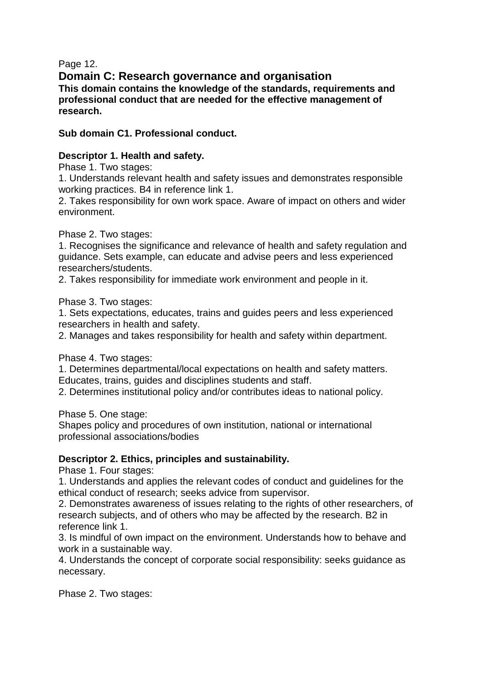Page 12.

**Domain C: Research governance and organisation This domain contains the knowledge of the standards, requirements and professional conduct that are needed for the effective management of research.**

**Sub domain C1. Professional conduct.**

### **Descriptor 1. Health and safety.**

Phase 1. Two stages:

1. Understands relevant health and safety issues and demonstrates responsible working practices. B4 in reference link 1.

2. Takes responsibility for own work space. Aware of impact on others and wider environment.

Phase 2. Two stages:

1. Recognises the significance and relevance of health and safety regulation and guidance. Sets example, can educate and advise peers and less experienced researchers/students.

2. Takes responsibility for immediate work environment and people in it.

Phase 3. Two stages:

1. Sets expectations, educates, trains and guides peers and less experienced researchers in health and safety.

2. Manages and takes responsibility for health and safety within department.

Phase 4. Two stages:

1. Determines departmental/local expectations on health and safety matters. Educates, trains, guides and disciplines students and staff.

2. Determines institutional policy and/or contributes ideas to national policy.

Phase 5. One stage:

Shapes policy and procedures of own institution, national or international professional associations/bodies

# **Descriptor 2. Ethics, principles and sustainability.**

Phase 1. Four stages:

1. Understands and applies the relevant codes of conduct and guidelines for the ethical conduct of research; seeks advice from supervisor.

2. Demonstrates awareness of issues relating to the rights of other researchers, of research subjects, and of others who may be affected by the research. B2 in reference link 1.

3. Is mindful of own impact on the environment. Understands how to behave and work in a sustainable way.

4. Understands the concept of corporate social responsibility: seeks guidance as necessary.

Phase 2. Two stages: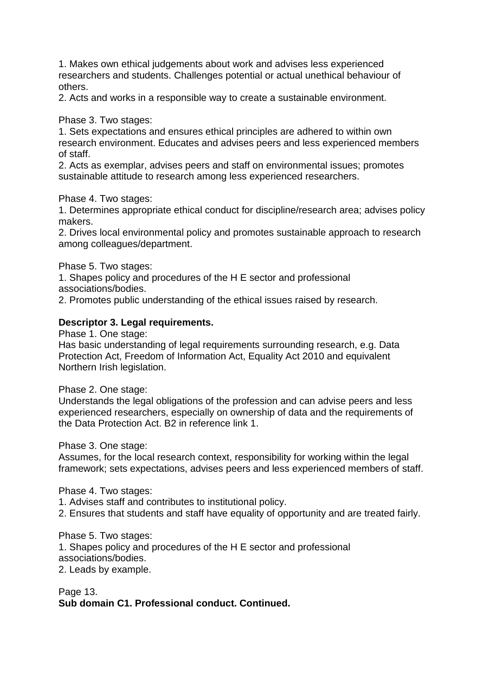1. Makes own ethical judgements about work and advises less experienced researchers and students. Challenges potential or actual unethical behaviour of others.

2. Acts and works in a responsible way to create a sustainable environment.

Phase 3. Two stages:

1. Sets expectations and ensures ethical principles are adhered to within own research environment. Educates and advises peers and less experienced members of staff.

2. Acts as exemplar, advises peers and staff on environmental issues; promotes sustainable attitude to research among less experienced researchers.

Phase 4. Two stages:

1. Determines appropriate ethical conduct for discipline/research area; advises policy makers.

2. Drives local environmental policy and promotes sustainable approach to research among colleagues/department.

Phase 5. Two stages:

1. Shapes policy and procedures of the H E sector and professional associations/bodies.

2. Promotes public understanding of the ethical issues raised by research.

#### **Descriptor 3. Legal requirements.**

Phase 1. One stage:

Has basic understanding of legal requirements surrounding research, e.g. Data Protection Act, Freedom of Information Act, Equality Act 2010 and equivalent Northern Irish legislation.

Phase 2. One stage:

Understands the legal obligations of the profession and can advise peers and less experienced researchers, especially on ownership of data and the requirements of the Data Protection Act. B2 in reference link 1.

Phase 3. One stage:

Assumes, for the local research context, responsibility for working within the legal framework; sets expectations, advises peers and less experienced members of staff.

Phase 4. Two stages:

1. Advises staff and contributes to institutional policy.

2. Ensures that students and staff have equality of opportunity and are treated fairly.

Phase 5. Two stages:

1. Shapes policy and procedures of the H E sector and professional

associations/bodies.

2. Leads by example.

### Page 13. **Sub domain C1. Professional conduct. Continued.**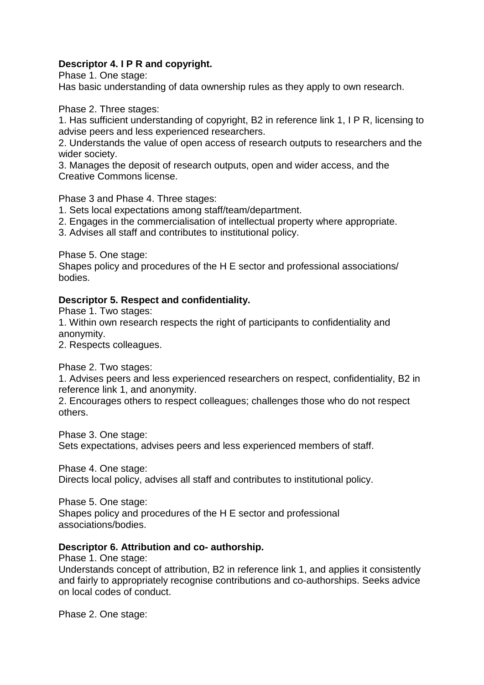### **Descriptor 4. I P R and copyright.**

Phase 1. One stage:

Has basic understanding of data ownership rules as they apply to own research.

Phase 2. Three stages:

1. Has sufficient understanding of copyright, B2 in reference link 1, I P R, licensing to advise peers and less experienced researchers.

2. Understands the value of open access of research outputs to researchers and the wider society.

3. Manages the deposit of research outputs, open and wider access, and the Creative Commons license.

Phase 3 and Phase 4. Three stages:

1. Sets local expectations among staff/team/department.

2. Engages in the commercialisation of intellectual property where appropriate.

3. Advises all staff and contributes to institutional policy.

Phase 5. One stage:

Shapes policy and procedures of the H E sector and professional associations/ bodies.

### **Descriptor 5. Respect and confidentiality.**

Phase 1. Two stages:

1. Within own research respects the right of participants to confidentiality and anonymity.

2. Respects colleagues.

Phase 2. Two stages:

1. Advises peers and less experienced researchers on respect, confidentiality, B2 in reference link 1, and anonymity.

2. Encourages others to respect colleagues; challenges those who do not respect others.

Phase 3. One stage:

Sets expectations, advises peers and less experienced members of staff.

Phase 4. One stage: Directs local policy, advises all staff and contributes to institutional policy.

Phase 5. One stage: Shapes policy and procedures of the H E sector and professional associations/bodies.

### **Descriptor 6. Attribution and co- authorship.**

Phase 1. One stage:

Understands concept of attribution, B2 in reference link 1, and applies it consistently and fairly to appropriately recognise contributions and co-authorships. Seeks advice on local codes of conduct.

Phase 2. One stage: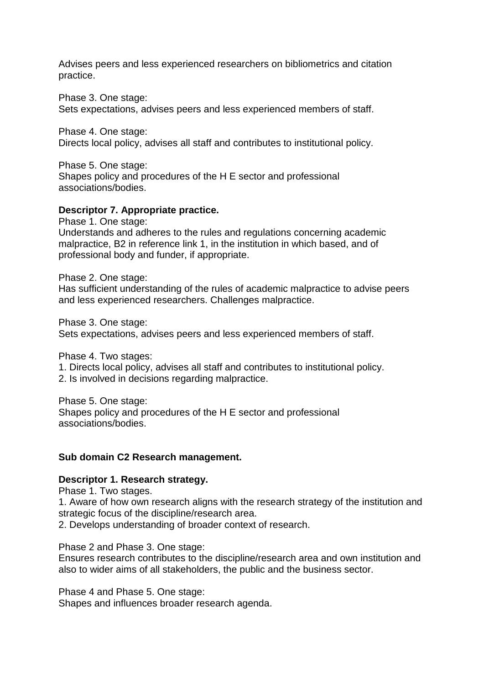Advises peers and less experienced researchers on bibliometrics and citation practice.

Phase 3. One stage:

Sets expectations, advises peers and less experienced members of staff.

Phase 4. One stage:

Directs local policy, advises all staff and contributes to institutional policy.

Phase 5. One stage: Shapes policy and procedures of the H E sector and professional associations/bodies.

### **Descriptor 7. Appropriate practice.**

Phase 1. One stage:

Understands and adheres to the rules and regulations concerning academic malpractice, B2 in reference link 1, in the institution in which based, and of professional body and funder, if appropriate.

Phase 2. One stage:

Has sufficient understanding of the rules of academic malpractice to advise peers and less experienced researchers. Challenges malpractice.

Phase 3. One stage:

Sets expectations, advises peers and less experienced members of staff.

Phase 4. Two stages:

- 1. Directs local policy, advises all staff and contributes to institutional policy.
- 2. Is involved in decisions regarding malpractice.

Phase 5. One stage: Shapes policy and procedures of the H E sector and professional associations/bodies.

#### **Sub domain C2 Research management.**

#### **Descriptor 1. Research strategy.**

Phase 1. Two stages.

1. Aware of how own research aligns with the research strategy of the institution and strategic focus of the discipline/research area.

2. Develops understanding of broader context of research.

Phase 2 and Phase 3. One stage:

Ensures research contributes to the discipline/research area and own institution and also to wider aims of all stakeholders, the public and the business sector.

Phase 4 and Phase 5. One stage:

Shapes and influences broader research agenda.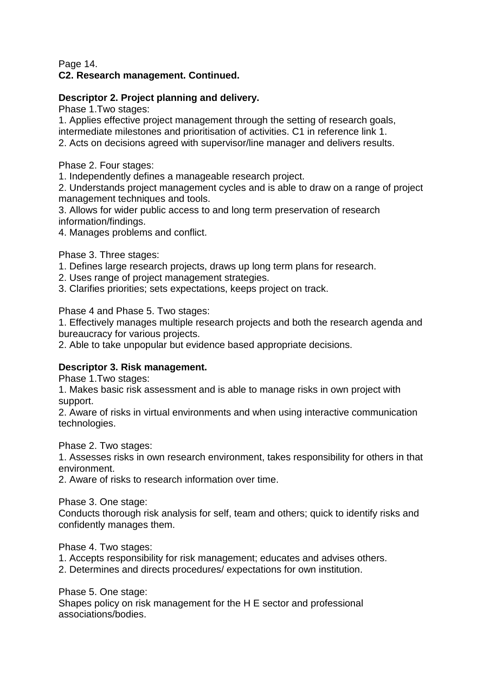### Page 14. **C2. Research management. Continued.**

# **Descriptor 2. Project planning and delivery.**

Phase 1.Two stages:

1. Applies effective project management through the setting of research goals, intermediate milestones and prioritisation of activities. C1 in reference link 1. 2. Acts on decisions agreed with supervisor/line manager and delivers results.

Phase 2. Four stages:

1. Independently defines a manageable research project.

2. Understands project management cycles and is able to draw on a range of project management techniques and tools.

3. Allows for wider public access to and long term preservation of research information/findings.

4. Manages problems and conflict.

Phase 3. Three stages:

- 1. Defines large research projects, draws up long term plans for research.
- 2. Uses range of project management strategies.
- 3. Clarifies priorities; sets expectations, keeps project on track.

Phase 4 and Phase 5. Two stages:

1. Effectively manages multiple research projects and both the research agenda and bureaucracy for various projects.

2. Able to take unpopular but evidence based appropriate decisions.

# **Descriptor 3. Risk management.**

Phase 1.Two stages:

1. Makes basic risk assessment and is able to manage risks in own project with support.

2. Aware of risks in virtual environments and when using interactive communication technologies.

Phase 2. Two stages:

1. Assesses risks in own research environment, takes responsibility for others in that environment.

2. Aware of risks to research information over time.

Phase 3. One stage:

Conducts thorough risk analysis for self, team and others; quick to identify risks and confidently manages them.

Phase 4. Two stages:

1. Accepts responsibility for risk management; educates and advises others.

2. Determines and directs procedures/ expectations for own institution.

Phase 5. One stage:

Shapes policy on risk management for the H E sector and professional associations/bodies.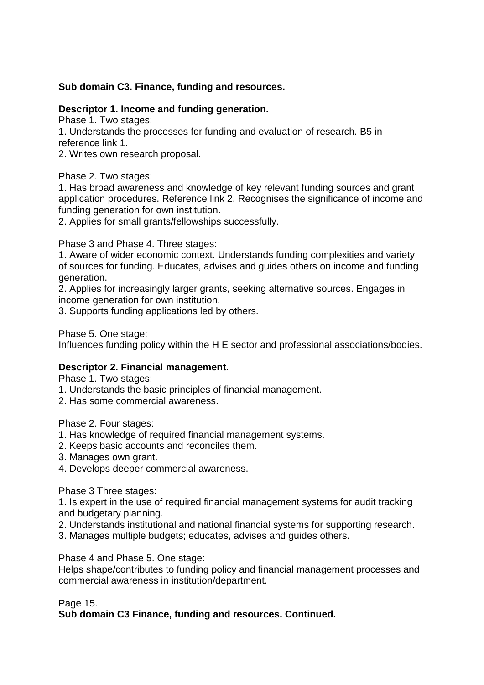### **Sub domain C3. Finance, funding and resources.**

### **Descriptor 1. Income and funding generation.**

Phase 1. Two stages:

1. Understands the processes for funding and evaluation of research. B5 in reference link 1.

2. Writes own research proposal.

Phase 2. Two stages:

1. Has broad awareness and knowledge of key relevant funding sources and grant application procedures. Reference link 2. Recognises the significance of income and funding generation for own institution.

2. Applies for small grants/fellowships successfully.

Phase 3 and Phase 4. Three stages:

1. Aware of wider economic context. Understands funding complexities and variety of sources for funding. Educates, advises and guides others on income and funding generation.

2. Applies for increasingly larger grants, seeking alternative sources. Engages in income generation for own institution.

3. Supports funding applications led by others.

Phase 5. One stage:

Influences funding policy within the H E sector and professional associations/bodies.

### **Descriptor 2. Financial management.**

Phase 1. Two stages:

- 1. Understands the basic principles of financial management.
- 2. Has some commercial awareness.

Phase 2. Four stages:

- 1. Has knowledge of required financial management systems.
- 2. Keeps basic accounts and reconciles them.
- 3. Manages own grant.
- 4. Develops deeper commercial awareness.

Phase 3 Three stages:

1. Is expert in the use of required financial management systems for audit tracking and budgetary planning.

- 2. Understands institutional and national financial systems for supporting research.
- 3. Manages multiple budgets; educates, advises and guides others.

Phase 4 and Phase 5. One stage:

Helps shape/contributes to funding policy and financial management processes and commercial awareness in institution/department.

Page 15.

**Sub domain C3 Finance, funding and resources. Continued.**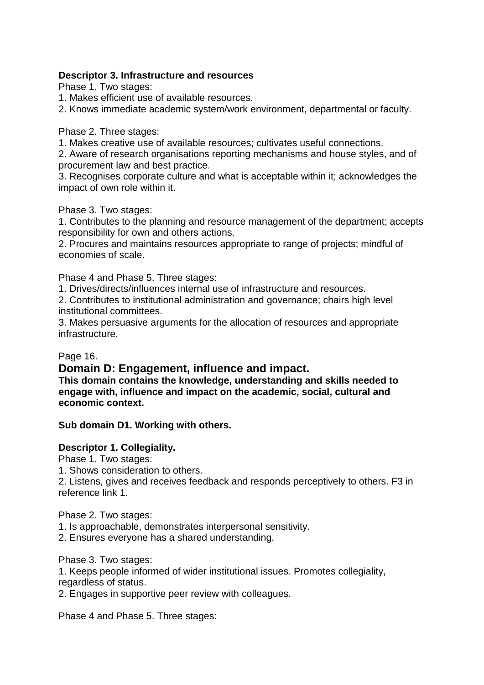### **Descriptor 3. Infrastructure and resources**

Phase 1. Two stages:

- 1. Makes efficient use of available resources.
- 2. Knows immediate academic system/work environment, departmental or faculty.

Phase 2. Three stages:

1. Makes creative use of available resources; cultivates useful connections.

2. Aware of research organisations reporting mechanisms and house styles, and of procurement law and best practice.

3. Recognises corporate culture and what is acceptable within it; acknowledges the impact of own role within it.

Phase 3. Two stages:

1. Contributes to the planning and resource management of the department; accepts responsibility for own and others actions.

2. Procures and maintains resources appropriate to range of projects; mindful of economies of scale.

Phase 4 and Phase 5. Three stages:

1. Drives/directs/influences internal use of infrastructure and resources.

2. Contributes to institutional administration and governance; chairs high level institutional committees.

3. Makes persuasive arguments for the allocation of resources and appropriate infrastructure.

# Page 16.

# **Domain D: Engagement, influence and impact.**

**This domain contains the knowledge, understanding and skills needed to engage with, influence and impact on the academic, social, cultural and economic context.**

# **Sub domain D1. Working with others.**

# **Descriptor 1. Collegiality.**

Phase 1. Two stages:

1. Shows consideration to others.

2. Listens, gives and receives feedback and responds perceptively to others. F3 in reference link 1.

Phase 2. Two stages:

- 1. Is approachable, demonstrates interpersonal sensitivity.
- 2. Ensures everyone has a shared understanding.

Phase 3. Two stages:

1. Keeps people informed of wider institutional issues. Promotes collegiality, regardless of status.

2. Engages in supportive peer review with colleagues.

Phase 4 and Phase 5. Three stages: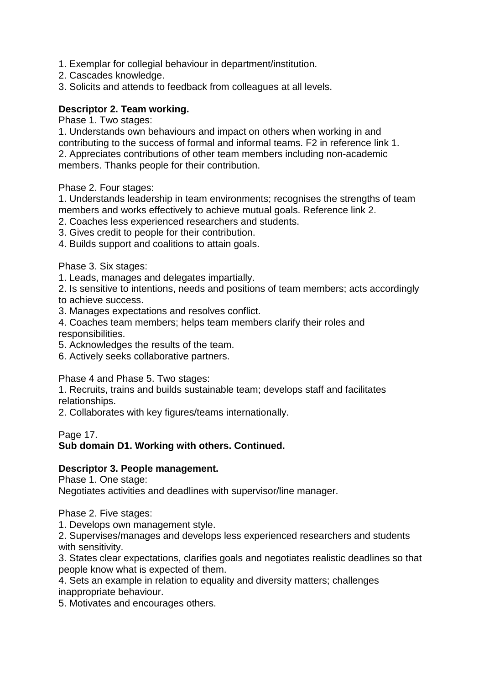- 1. Exemplar for collegial behaviour in department/institution.
- 2. Cascades knowledge.
- 3. Solicits and attends to feedback from colleagues at all levels.

### **Descriptor 2. Team working.**

Phase 1. Two stages:

1. Understands own behaviours and impact on others when working in and contributing to the success of formal and informal teams. F2 in reference link 1. 2. Appreciates contributions of other team members including non-academic members. Thanks people for their contribution.

Phase 2. Four stages:

1. Understands leadership in team environments; recognises the strengths of team members and works effectively to achieve mutual goals. Reference link 2.

- 2. Coaches less experienced researchers and students.
- 3. Gives credit to people for their contribution.
- 4. Builds support and coalitions to attain goals.

Phase 3. Six stages:

1. Leads, manages and delegates impartially.

2. Is sensitive to intentions, needs and positions of team members; acts accordingly to achieve success.

3. Manages expectations and resolves conflict.

4. Coaches team members; helps team members clarify their roles and responsibilities.

5. Acknowledges the results of the team.

6. Actively seeks collaborative partners.

Phase 4 and Phase 5. Two stages:

1. Recruits, trains and builds sustainable team; develops staff and facilitates relationships.

2. Collaborates with key figures/teams internationally.

Page 17.

### **Sub domain D1. Working with others. Continued.**

### **Descriptor 3. People management.**

Phase 1. One stage:

Negotiates activities and deadlines with supervisor/line manager.

Phase 2. Five stages:

1. Develops own management style.

2. Supervises/manages and develops less experienced researchers and students with sensitivity.

3. States clear expectations, clarifies goals and negotiates realistic deadlines so that people know what is expected of them.

4. Sets an example in relation to equality and diversity matters; challenges inappropriate behaviour.

5. Motivates and encourages others.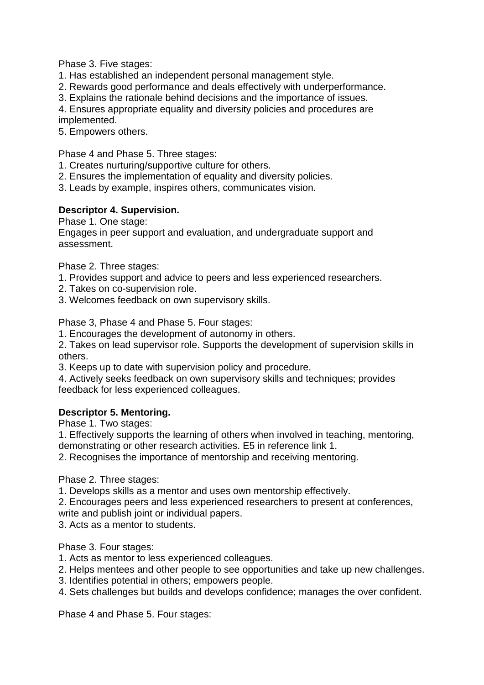Phase 3. Five stages:

- 1. Has established an independent personal management style.
- 2. Rewards good performance and deals effectively with underperformance.
- 3. Explains the rationale behind decisions and the importance of issues.

4. Ensures appropriate equality and diversity policies and procedures are

implemented.

5. Empowers others.

Phase 4 and Phase 5. Three stages:

- 1. Creates nurturing/supportive culture for others.
- 2. Ensures the implementation of equality and diversity policies.

3. Leads by example, inspires others, communicates vision.

# **Descriptor 4. Supervision.**

Phase 1. One stage:

Engages in peer support and evaluation, and undergraduate support and assessment.

Phase 2. Three stages:

- 1. Provides support and advice to peers and less experienced researchers.
- 2. Takes on co-supervision role.
- 3. Welcomes feedback on own supervisory skills.

Phase 3, Phase 4 and Phase 5. Four stages:

1. Encourages the development of autonomy in others.

2. Takes on lead supervisor role. Supports the development of supervision skills in others.

3. Keeps up to date with supervision policy and procedure.

4. Actively seeks feedback on own supervisory skills and techniques; provides feedback for less experienced colleagues.

# **Descriptor 5. Mentoring.**

Phase 1. Two stages:

1. Effectively supports the learning of others when involved in teaching, mentoring, demonstrating or other research activities. E5 in reference link 1.

2. Recognises the importance of mentorship and receiving mentoring.

Phase 2. Three stages:

1. Develops skills as a mentor and uses own mentorship effectively.

2. Encourages peers and less experienced researchers to present at conferences,

write and publish joint or individual papers.

3. Acts as a mentor to students.

Phase 3. Four stages:

- 1. Acts as mentor to less experienced colleagues.
- 2. Helps mentees and other people to see opportunities and take up new challenges.
- 3. Identifies potential in others; empowers people.
- 4. Sets challenges but builds and develops confidence; manages the over confident.

Phase 4 and Phase 5. Four stages: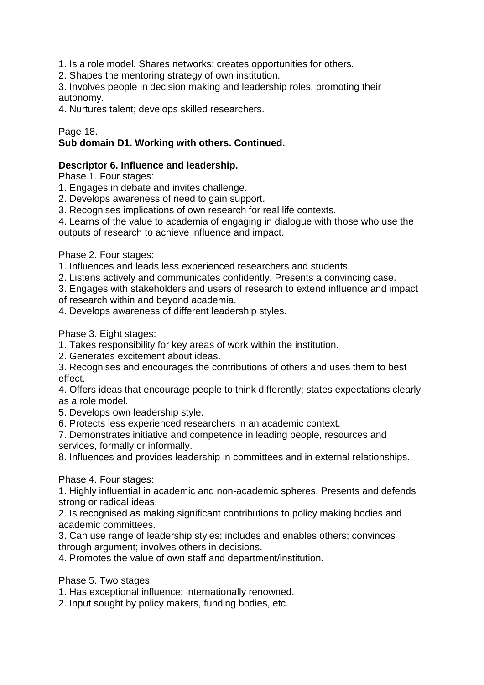1. Is a role model. Shares networks; creates opportunities for others.

2. Shapes the mentoring strategy of own institution.

3. Involves people in decision making and leadership roles, promoting their autonomy.

4. Nurtures talent; develops skilled researchers.

### Page 18.

# **Sub domain D1. Working with others. Continued.**

### **Descriptor 6. Influence and leadership.**

Phase 1. Four stages:

- 1. Engages in debate and invites challenge.
- 2. Develops awareness of need to gain support.
- 3. Recognises implications of own research for real life contexts.

4. Learns of the value to academia of engaging in dialogue with those who use the outputs of research to achieve influence and impact.

Phase 2. Four stages:

- 1. Influences and leads less experienced researchers and students.
- 2. Listens actively and communicates confidently. Presents a convincing case.
- 3. Engages with stakeholders and users of research to extend influence and impact
- of research within and beyond academia.
- 4. Develops awareness of different leadership styles.

Phase 3. Eight stages:

- 1. Takes responsibility for key areas of work within the institution.
- 2. Generates excitement about ideas.
- 3. Recognises and encourages the contributions of others and uses them to best effect.

4. Offers ideas that encourage people to think differently; states expectations clearly as a role model.

5. Develops own leadership style.

6. Protects less experienced researchers in an academic context.

7. Demonstrates initiative and competence in leading people, resources and services, formally or informally.

8. Influences and provides leadership in committees and in external relationships.

Phase 4. Four stages:

1. Highly influential in academic and non-academic spheres. Presents and defends strong or radical ideas.

2. Is recognised as making significant contributions to policy making bodies and academic committees.

3. Can use range of leadership styles; includes and enables others; convinces through argument; involves others in decisions.

4. Promotes the value of own staff and department/institution.

Phase 5. Two stages:

1. Has exceptional influence; internationally renowned.

2. Input sought by policy makers, funding bodies, etc.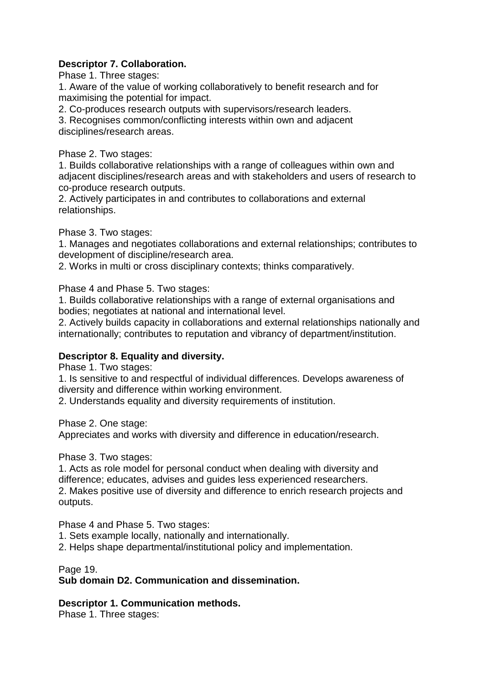# **Descriptor 7. Collaboration.**

Phase 1. Three stages:

1. Aware of the value of working collaboratively to benefit research and for maximising the potential for impact.

2. Co-produces research outputs with supervisors/research leaders.

3. Recognises common/conflicting interests within own and adjacent disciplines/research areas.

Phase 2. Two stages:

1. Builds collaborative relationships with a range of colleagues within own and adjacent disciplines/research areas and with stakeholders and users of research to co-produce research outputs.

2. Actively participates in and contributes to collaborations and external relationships.

Phase 3. Two stages:

1. Manages and negotiates collaborations and external relationships; contributes to development of discipline/research area.

2. Works in multi or cross disciplinary contexts; thinks comparatively.

Phase 4 and Phase 5. Two stages:

1. Builds collaborative relationships with a range of external organisations and bodies; negotiates at national and international level.

2. Actively builds capacity in collaborations and external relationships nationally and internationally; contributes to reputation and vibrancy of department/institution.

### **Descriptor 8. Equality and diversity.**

Phase 1. Two stages:

1. Is sensitive to and respectful of individual differences. Develops awareness of diversity and difference within working environment.

2. Understands equality and diversity requirements of institution.

Phase 2. One stage:

Appreciates and works with diversity and difference in education/research.

Phase 3. Two stages:

1. Acts as role model for personal conduct when dealing with diversity and difference; educates, advises and guides less experienced researchers.

2. Makes positive use of diversity and difference to enrich research projects and outputs.

Phase 4 and Phase 5. Two stages:

1. Sets example locally, nationally and internationally.

2. Helps shape departmental/institutional policy and implementation.

Page 19.

### **Sub domain D2. Communication and dissemination.**

**Descriptor 1. Communication methods.**

Phase 1. Three stages: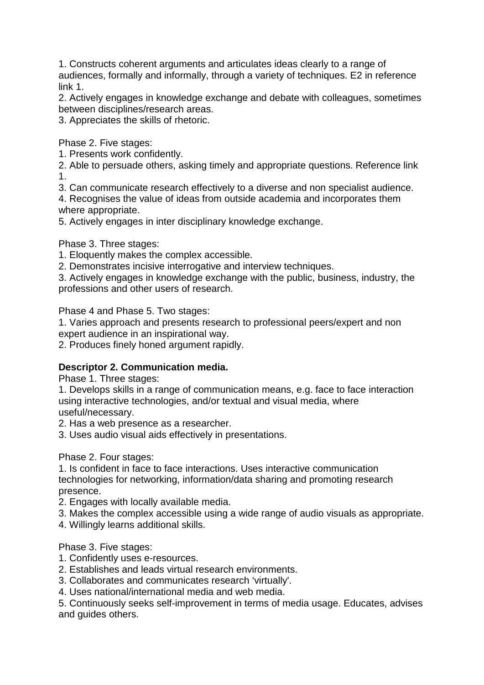1. Constructs coherent arguments and articulates ideas clearly to a range of audiences, formally and informally, through a variety of techniques. E2 in reference link 1.

2. Actively engages in knowledge exchange and debate with colleagues, sometimes between disciplines/research areas.

3. Appreciates the skills of rhetoric.

Phase 2. Five stages:

1. Presents work confidently.

2. Able to persuade others, asking timely and appropriate questions. Reference link 1.

3. Can communicate research effectively to a diverse and non specialist audience.

4. Recognises the value of ideas from outside academia and incorporates them where appropriate.

5. Actively engages in inter disciplinary knowledge exchange.

Phase 3. Three stages:

1. Eloquently makes the complex accessible.

2. Demonstrates incisive interrogative and interview techniques.

3. Actively engages in knowledge exchange with the public, business, industry, the professions and other users of research.

Phase 4 and Phase 5. Two stages:

1. Varies approach and presents research to professional peers/expert and non expert audience in an inspirational way.

2. Produces finely honed argument rapidly.

# **Descriptor 2. Communication media.**

Phase 1. Three stages:

1. Develops skills in a range of communication means, e.g. face to face interaction using interactive technologies, and/or textual and visual media, where useful/necessary.

2. Has a web presence as a researcher.

3. Uses audio visual aids effectively in presentations.

Phase 2. Four stages:

1. Is confident in face to face interactions. Uses interactive communication technologies for networking, information/data sharing and promoting research presence.

2. Engages with locally available media.

3. Makes the complex accessible using a wide range of audio visuals as appropriate.

4. Willingly learns additional skills.

Phase 3. Five stages:

- 1. Confidently uses e-resources.
- 2. Establishes and leads virtual research environments.
- 3. Collaborates and communicates research 'virtually'.

4. Uses national/international media and web media.

5. Continuously seeks self-improvement in terms of media usage. Educates, advises and guides others.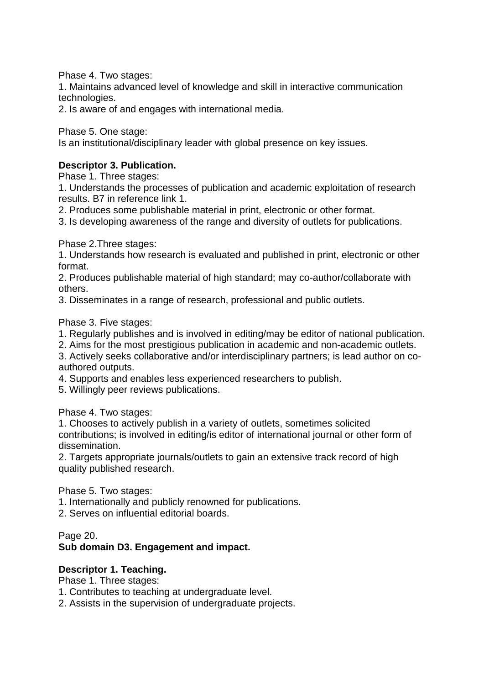Phase 4. Two stages:

1. Maintains advanced level of knowledge and skill in interactive communication technologies.

2. Is aware of and engages with international media.

Phase 5. One stage:

Is an institutional/disciplinary leader with global presence on key issues.

### **Descriptor 3. Publication.**

Phase 1. Three stages:

1. Understands the processes of publication and academic exploitation of research results. B7 in reference link 1.

2. Produces some publishable material in print, electronic or other format.

3. Is developing awareness of the range and diversity of outlets for publications.

Phase 2.Three stages:

1. Understands how research is evaluated and published in print, electronic or other format.

2. Produces publishable material of high standard; may co-author/collaborate with others.

3. Disseminates in a range of research, professional and public outlets.

Phase 3. Five stages:

1. Regularly publishes and is involved in editing/may be editor of national publication.

2. Aims for the most prestigious publication in academic and non-academic outlets.

3. Actively seeks collaborative and/or interdisciplinary partners; is lead author on coauthored outputs.

4. Supports and enables less experienced researchers to publish.

5. Willingly peer reviews publications.

Phase 4. Two stages:

1. Chooses to actively publish in a variety of outlets, sometimes solicited contributions; is involved in editing/is editor of international journal or other form of dissemination.

2. Targets appropriate journals/outlets to gain an extensive track record of high quality published research.

Phase 5. Two stages:

1. Internationally and publicly renowned for publications.

2. Serves on influential editorial boards.

Page 20. **Sub domain D3. Engagement and impact.**

### **Descriptor 1. Teaching.**

Phase 1. Three stages:

1. Contributes to teaching at undergraduate level.

2. Assists in the supervision of undergraduate projects.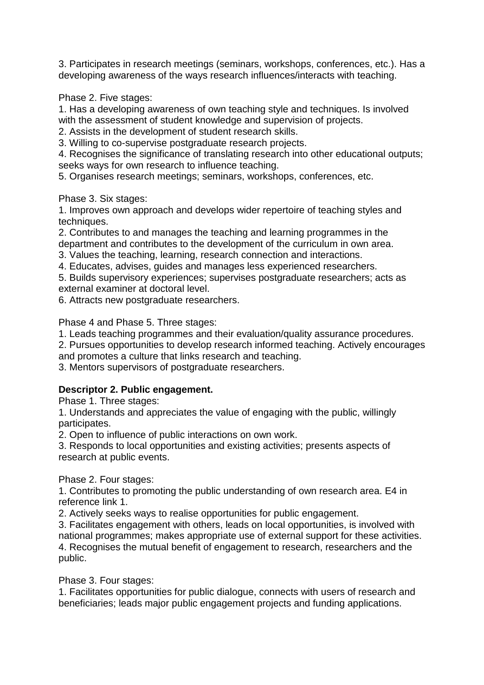3. Participates in research meetings (seminars, workshops, conferences, etc.). Has a developing awareness of the ways research influences/interacts with teaching.

Phase 2. Five stages:

1. Has a developing awareness of own teaching style and techniques. Is involved with the assessment of student knowledge and supervision of projects.

2. Assists in the development of student research skills.

3. Willing to co-supervise postgraduate research projects.

4. Recognises the significance of translating research into other educational outputs; seeks ways for own research to influence teaching.

5. Organises research meetings; seminars, workshops, conferences, etc.

Phase 3. Six stages:

1. Improves own approach and develops wider repertoire of teaching styles and techniques.

2. Contributes to and manages the teaching and learning programmes in the department and contributes to the development of the curriculum in own area.

3. Values the teaching, learning, research connection and interactions.

4. Educates, advises, guides and manages less experienced researchers.

5. Builds supervisory experiences; supervises postgraduate researchers; acts as external examiner at doctoral level.

6. Attracts new postgraduate researchers.

Phase 4 and Phase 5. Three stages:

1. Leads teaching programmes and their evaluation/quality assurance procedures.

2. Pursues opportunities to develop research informed teaching. Actively encourages

and promotes a culture that links research and teaching.

3. Mentors supervisors of postgraduate researchers.

# **Descriptor 2. Public engagement.**

Phase 1. Three stages:

1. Understands and appreciates the value of engaging with the public, willingly participates.

2. Open to influence of public interactions on own work.

3. Responds to local opportunities and existing activities; presents aspects of research at public events.

Phase 2. Four stages:

1. Contributes to promoting the public understanding of own research area. E4 in reference link 1.

2. Actively seeks ways to realise opportunities for public engagement.

3. Facilitates engagement with others, leads on local opportunities, is involved with national programmes; makes appropriate use of external support for these activities. 4. Recognises the mutual benefit of engagement to research, researchers and the public.

Phase 3. Four stages:

1. Facilitates opportunities for public dialogue, connects with users of research and beneficiaries; leads major public engagement projects and funding applications.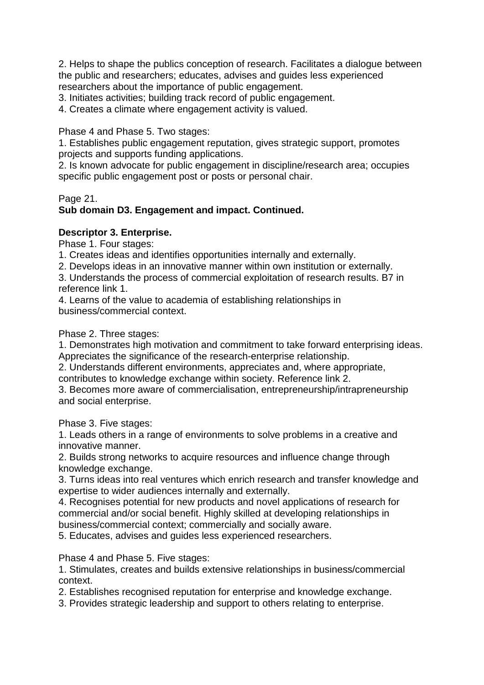2. Helps to shape the publics conception of research. Facilitates a dialogue between the public and researchers; educates, advises and guides less experienced researchers about the importance of public engagement.

3. Initiates activities; building track record of public engagement.

4. Creates a climate where engagement activity is valued.

Phase 4 and Phase 5. Two stages:

1. Establishes public engagement reputation, gives strategic support, promotes projects and supports funding applications.

2. Is known advocate for public engagement in discipline/research area; occupies specific public engagement post or posts or personal chair.

Page 21.

# **Sub domain D3. Engagement and impact. Continued.**

### **Descriptor 3. Enterprise.**

Phase 1. Four stages:

1. Creates ideas and identifies opportunities internally and externally.

2. Develops ideas in an innovative manner within own institution or externally.

3. Understands the process of commercial exploitation of research results. B7 in reference link 1.

4. Learns of the value to academia of establishing relationships in business/commercial context.

Phase 2. Three stages:

1. Demonstrates high motivation and commitment to take forward enterprising ideas. Appreciates the significance of the research-enterprise relationship.

2. Understands different environments, appreciates and, where appropriate, contributes to knowledge exchange within society. Reference link 2.

3. Becomes more aware of commercialisation, entrepreneurship/intrapreneurship and social enterprise.

Phase 3. Five stages:

1. Leads others in a range of environments to solve problems in a creative and innovative manner.

2. Builds strong networks to acquire resources and influence change through knowledge exchange.

3. Turns ideas into real ventures which enrich research and transfer knowledge and expertise to wider audiences internally and externally.

4. Recognises potential for new products and novel applications of research for commercial and/or social benefit. Highly skilled at developing relationships in business/commercial context; commercially and socially aware.

5. Educates, advises and guides less experienced researchers.

Phase 4 and Phase 5. Five stages:

1. Stimulates, creates and builds extensive relationships in business/commercial context.

2. Establishes recognised reputation for enterprise and knowledge exchange.

3. Provides strategic leadership and support to others relating to enterprise.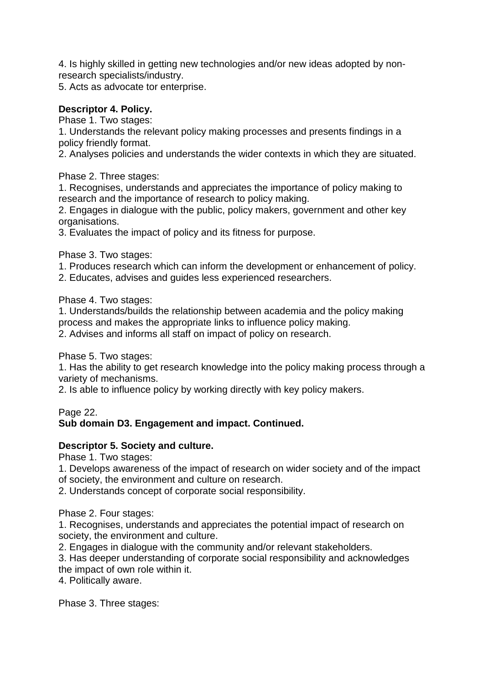4. Is highly skilled in getting new technologies and/or new ideas adopted by nonresearch specialists/industry.

5. Acts as advocate tor enterprise.

# **Descriptor 4. Policy.**

Phase 1. Two stages:

1. Understands the relevant policy making processes and presents findings in a policy friendly format.

2. Analyses policies and understands the wider contexts in which they are situated.

Phase 2. Three stages:

1. Recognises, understands and appreciates the importance of policy making to research and the importance of research to policy making.

2. Engages in dialogue with the public, policy makers, government and other key organisations.

3. Evaluates the impact of policy and its fitness for purpose.

Phase 3. Two stages:

1. Produces research which can inform the development or enhancement of policy.

2. Educates, advises and guides less experienced researchers.

Phase 4. Two stages:

1. Understands/builds the relationship between academia and the policy making process and makes the appropriate links to influence policy making.

2. Advises and informs all staff on impact of policy on research.

Phase 5. Two stages:

1. Has the ability to get research knowledge into the policy making process through a variety of mechanisms.

2. Is able to influence policy by working directly with key policy makers.

Page 22.

# **Sub domain D3. Engagement and impact. Continued.**

# **Descriptor 5. Society and culture.**

Phase 1. Two stages:

1. Develops awareness of the impact of research on wider society and of the impact of society, the environment and culture on research.

2. Understands concept of corporate social responsibility.

Phase 2. Four stages:

1. Recognises, understands and appreciates the potential impact of research on society, the environment and culture.

2. Engages in dialogue with the community and/or relevant stakeholders.

3. Has deeper understanding of corporate social responsibility and acknowledges the impact of own role within it.

4. Politically aware.

Phase 3. Three stages: